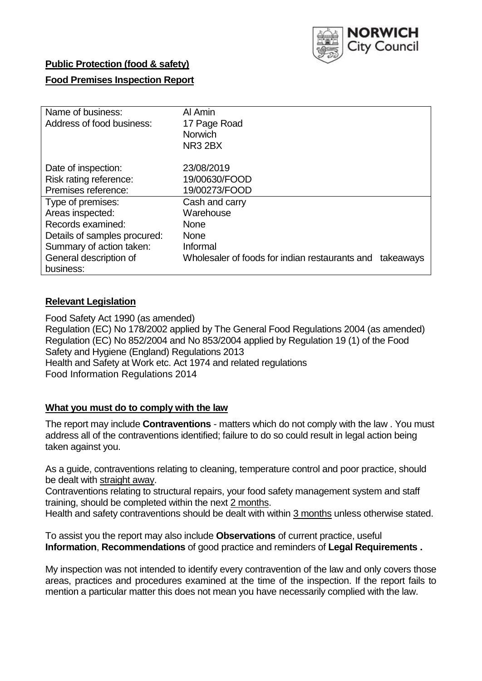

## **Public Protection (food & safety)**

## **Food Premises Inspection Report**

| Name of business:<br>Address of food business: | Al Amin<br>17 Page Road<br><b>Norwich</b><br>NR3 2BX        |
|------------------------------------------------|-------------------------------------------------------------|
| Date of inspection:                            | 23/08/2019                                                  |
| Risk rating reference:                         | 19/00630/FOOD                                               |
| Premises reference:                            | 19/00273/FOOD                                               |
| Type of premises:                              | Cash and carry                                              |
| Areas inspected:                               | Warehouse                                                   |
| Records examined:                              | <b>None</b>                                                 |
| Details of samples procured:                   | <b>None</b>                                                 |
| Summary of action taken:                       | Informal                                                    |
| General description of                         | Wholesaler of foods for indian restaurants and<br>takeaways |
| business:                                      |                                                             |

## **Relevant Legislation**

Food Safety Act 1990 (as amended) Regulation (EC) No 178/2002 applied by The General Food Regulations 2004 (as amended) Regulation (EC) No 852/2004 and No 853/2004 applied by Regulation 19 (1) of the Food Safety and Hygiene (England) Regulations 2013 Health and Safety at Work etc. Act 1974 and related regulations Food Information Regulations 2014

### **What you must do to comply with the law**

The report may include **Contraventions** - matters which do not comply with the law . You must address all of the contraventions identified; failure to do so could result in legal action being taken against you.

As a guide, contraventions relating to cleaning, temperature control and poor practice, should be dealt with straight away.

Contraventions relating to structural repairs, your food safety management system and staff training, should be completed within the next 2 months.

Health and safety contraventions should be dealt with within 3 months unless otherwise stated.

To assist you the report may also include **Observations** of current practice, useful **Information**, **Recommendations** of good practice and reminders of **Legal Requirements .**

My inspection was not intended to identify every contravention of the law and only covers those areas, practices and procedures examined at the time of the inspection. If the report fails to mention a particular matter this does not mean you have necessarily complied with the law.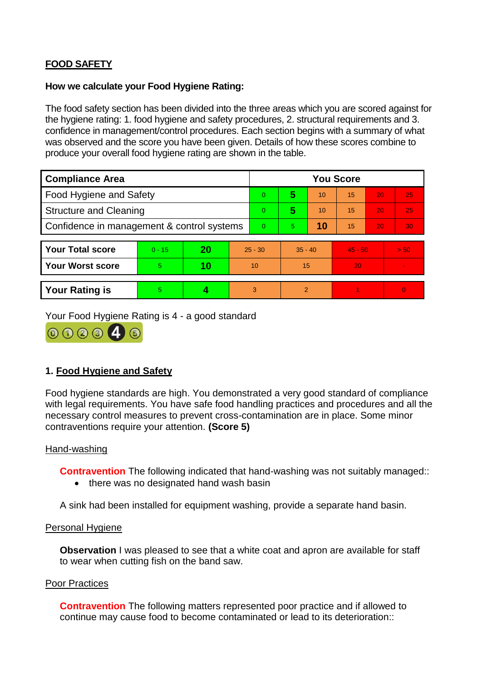# **FOOD SAFETY**

#### **How we calculate your Food Hygiene Rating:**

The food safety section has been divided into the three areas which you are scored against for the hygiene rating: 1. food hygiene and safety procedures, 2. structural requirements and 3. confidence in management/control procedures. Each section begins with a summary of what was observed and the score you have been given. Details of how these scores combine to produce your overall food hygiene rating are shown in the table.

| <b>Compliance Area</b>                     |          |    |           | <b>You Score</b> |           |    |           |    |                |  |  |
|--------------------------------------------|----------|----|-----------|------------------|-----------|----|-----------|----|----------------|--|--|
| Food Hygiene and Safety                    |          |    |           | $\Omega$         | 5         | 10 | 15        | 20 | 25             |  |  |
| <b>Structure and Cleaning</b>              |          |    |           | $\overline{0}$   | 5         | 10 | 15        | 20 | 25             |  |  |
| Confidence in management & control systems |          |    |           | $\overline{0}$   | 5         | 10 | 15        | 20 | 30             |  |  |
|                                            |          |    |           |                  |           |    |           |    |                |  |  |
| <b>Your Total score</b>                    | $0 - 15$ | 20 | $25 - 30$ |                  | $35 - 40$ |    | $45 - 50$ |    | > 50           |  |  |
| Your Worst score                           | 5.       | 10 | 10        |                  | 15        |    | 20        |    |                |  |  |
|                                            |          |    |           |                  |           |    |           |    |                |  |  |
| <b>Your Rating is</b>                      | 5        |    |           | 3                | 2         |    |           |    | $\overline{0}$ |  |  |

Your Food Hygiene Rating is 4 - a good standard



## **1. Food Hygiene and Safety**

Food hygiene standards are high. You demonstrated a very good standard of compliance with legal requirements. You have safe food handling practices and procedures and all the necessary control measures to prevent cross-contamination are in place. Some minor contraventions require your attention. **(Score 5)**

### Hand-washing

**Contravention** The following indicated that hand-washing was not suitably managed::

• there was no designated hand wash basin

A sink had been installed for equipment washing, provide a separate hand basin.

### Personal Hygiene

**Observation** I was pleased to see that a white coat and apron are available for staff to wear when cutting fish on the band saw.

#### Poor Practices

**Contravention** The following matters represented poor practice and if allowed to continue may cause food to become contaminated or lead to its deterioration::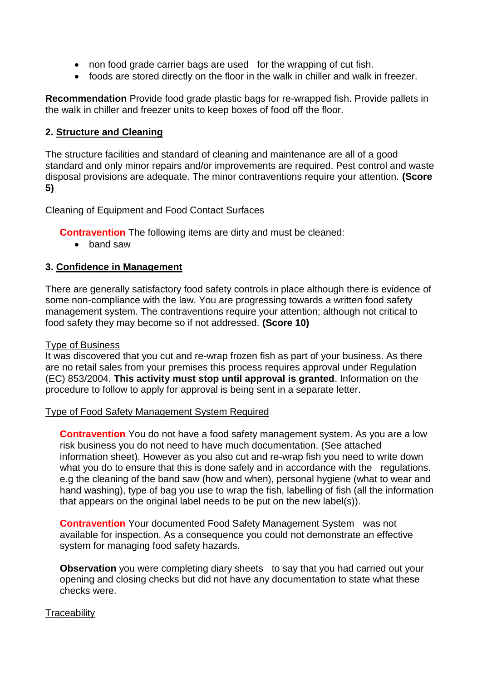- non food grade carrier bags are used for the wrapping of cut fish.
- foods are stored directly on the floor in the walk in chiller and walk in freezer.

**Recommendation** Provide food grade plastic bags for re-wrapped fish. Provide pallets in the walk in chiller and freezer units to keep boxes of food off the floor.

## **2. Structure and Cleaning**

The structure facilities and standard of cleaning and maintenance are all of a good standard and only minor repairs and/or improvements are required. Pest control and waste disposal provisions are adequate. The minor contraventions require your attention. **(Score 5)**

### Cleaning of Equipment and Food Contact Surfaces

**Contravention** The following items are dirty and must be cleaned:

• band saw

## **3. Confidence in Management**

There are generally satisfactory food safety controls in place although there is evidence of some non-compliance with the law. You are progressing towards a written food safety management system. The contraventions require your attention; although not critical to food safety they may become so if not addressed. **(Score 10)**

### Type of Business

It was discovered that you cut and re-wrap frozen fish as part of your business. As there are no retail sales from your premises this process requires approval under Regulation (EC) 853/2004. **This activity must stop until approval is granted**. Information on the procedure to follow to apply for approval is being sent in a separate letter.

#### Type of Food Safety Management System Required

**Contravention** You do not have a food safety management system. As you are a low risk business you do not need to have much documentation. (See attached information sheet). However as you also cut and re-wrap fish you need to write down what you do to ensure that this is done safely and in accordance with the regulations. e.g the cleaning of the band saw (how and when), personal hygiene (what to wear and hand washing), type of bag you use to wrap the fish, labelling of fish (all the information that appears on the original label needs to be put on the new label(s)).

**Contravention** Your documented Food Safety Management System was not available for inspection. As a consequence you could not demonstrate an effective system for managing food safety hazards.

**Observation** you were completing diary sheets to say that you had carried out your opening and closing checks but did not have any documentation to state what these checks were.

### **Traceability**